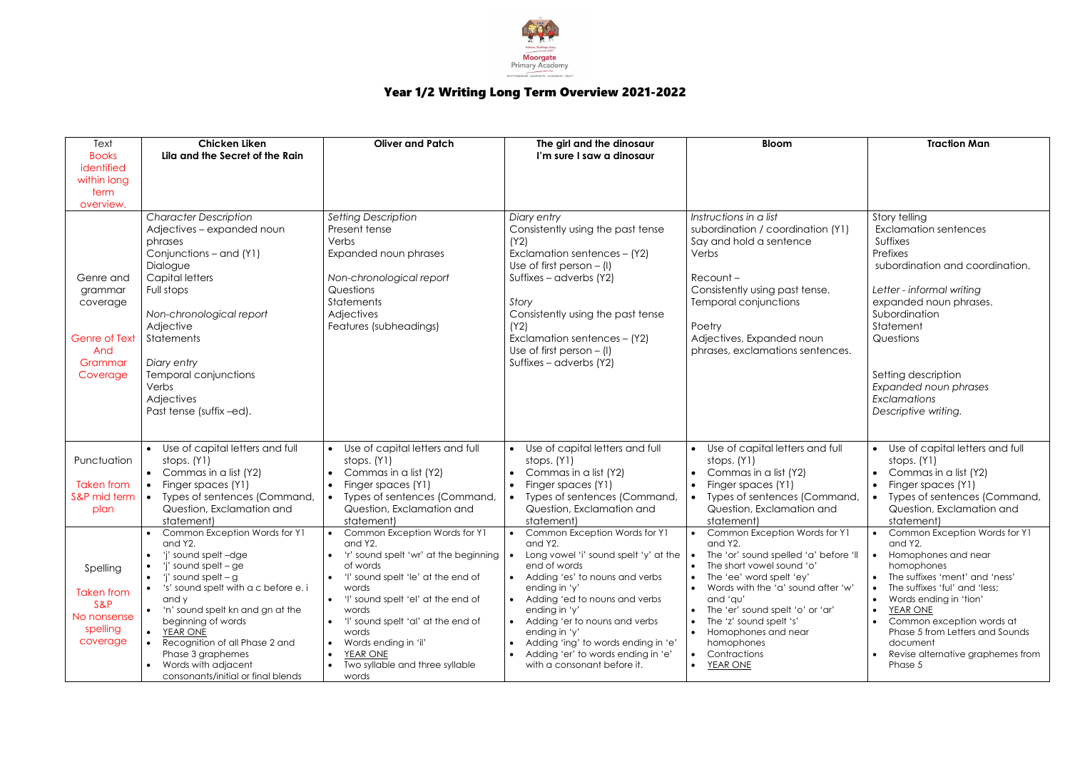

## Year 1/2 Writing Long Term Overview 2021-2022

| Text                        | <b>Chicken Liken</b>                      | <b>Oliver and Patch</b>                             | The girl and the dinosaur                                   | <b>Bloom</b>                             | <b>Traction Man</b>                      |
|-----------------------------|-------------------------------------------|-----------------------------------------------------|-------------------------------------------------------------|------------------------------------------|------------------------------------------|
| <b>Books</b>                | Lila and the Secret of the Rain           |                                                     | I'm sure I saw a dinosaur                                   |                                          |                                          |
| identified                  |                                           |                                                     |                                                             |                                          |                                          |
| within long                 |                                           |                                                     |                                                             |                                          |                                          |
| term                        |                                           |                                                     |                                                             |                                          |                                          |
| overview.                   |                                           |                                                     |                                                             |                                          |                                          |
|                             | <b>Character Description</b>              | Setting Description                                 | Diary entry                                                 | Instructions in a list                   | Story telling                            |
|                             | Adjectives - expanded noun                | Present tense                                       | Consistently using the past tense                           | subordination / coordination (Y1)        | <b>Exclamation sentences</b>             |
|                             | phrases                                   | Verbs                                               | (Y2)                                                        | Say and hold a sentence                  | Suffixes                                 |
|                             | Conjunctions - and (Y1)                   | Expanded noun phrases                               | Exclamation sentences - (Y2)                                | Verbs                                    | Prefixes                                 |
|                             | Dialogue                                  |                                                     | Use of first person $-$ (I)                                 |                                          | subordination and coordination.          |
| Genre and                   | <b>Capital letters</b>                    | Non-chronological report                            | Suffixes – adverbs (Y2)                                     | Recount-                                 |                                          |
| grammar                     | Full stops                                | Questions                                           |                                                             | Consistently using past tense.           | Letter - informal writing                |
| coverage                    |                                           | <b>Statements</b>                                   | Story                                                       | Temporal conjunctions                    | expanded noun phrases.                   |
|                             | Non-chronological report                  | Adjectives                                          | Consistently using the past tense                           |                                          | Subordination                            |
|                             | Adjective                                 | Features (subheadings)                              | (Y2)                                                        | Poetry                                   | Statement                                |
| <b>Genre of Text</b>        | Statements                                |                                                     | Exclamation sentences - (Y2)                                | Adjectives, Expanded noun                | Questions                                |
| And                         |                                           |                                                     | Use of first person $-$ (I)                                 | phrases, exclamations sentences.         |                                          |
| Grammar                     | Diary entry                               |                                                     | Suffixes – adverbs (Y2)                                     |                                          |                                          |
| Coverage                    | Temporal conjunctions                     |                                                     |                                                             |                                          | Setting description                      |
|                             | Verbs                                     |                                                     |                                                             |                                          | Expanded noun phrases                    |
|                             | Adjectives                                |                                                     |                                                             |                                          | Exclamations                             |
|                             | Past tense (suffix -ed).                  |                                                     |                                                             |                                          | Descriptive writing.                     |
|                             |                                           |                                                     |                                                             |                                          |                                          |
|                             |                                           |                                                     |                                                             |                                          |                                          |
|                             | Use of capital letters and full           | Use of capital letters and full<br>$\bullet$        | Use of capital letters and full                             | Use of capital letters and full          | Use of capital letters and full          |
| Punctuation                 | stops. (Y1)                               | stops. (Y1)                                         | stops. $(Y1)$                                               | stops. (Y1)                              | stops. (Y1)                              |
|                             | Commas in a list (Y2)                     | Commas in a list (Y2)                               | Commas in a list (Y2)                                       | Commas in a list (Y2)                    | Commas in a list (Y2)                    |
| <b>Taken from</b>           | Finger spaces (Y1)<br>$\bullet$           | Finger spaces (Y1)<br>$\bullet$                     | Finger spaces (Y1)                                          | Finger spaces (Y1)                       | Finger spaces (Y1)<br>$\bullet$          |
| S&P mid term                | Types of sentences (Command,<br>$\bullet$ | Types of sentences (Command,                        | • Types of sentences (Command,                              | Types of sentences (Command,             | Types of sentences (Command,             |
| plan                        | Question, Exclamation and                 | Question, Exclamation and                           | Question, Exclamation and                                   | Question, Exclamation and                | Question, Exclamation and                |
|                             | statement)                                | statement)                                          | statement)                                                  | statement)                               | statement)                               |
|                             | Common Exception Words for Y1<br>and Y2.  | Common Exception Words for Y1<br>and Y2.            | Common Exception Words for Y1<br>and Y2.                    | Common Exception Words for Y1<br>and Y2. | Common Exception Words for Y1<br>and Y2. |
|                             | 'i' sound spelt-dge<br>$\bullet$          | 'r' sound spelt 'wr' at the beginning $  \bullet  $ | Long vowel 'i' sound spelt 'y' at the $\vert \bullet \vert$ | The 'or' sound spelled 'a' before 'II    | Homophones and near                      |
|                             | 'i' sound spelt - ge<br>$\bullet$         | of words                                            | end of words                                                | The short vowel sound 'o'                | homophones                               |
| Spelling                    | 'i' sound spelt $-g$<br>$\bullet$         | 'I' sound spelt 'le' at the end of<br>$\bullet$     | • Adding 'es' to nouns and verbs                            | The 'ee' word spelt 'ey'                 | The suffixes 'ment' and 'ness'           |
|                             | • 's' sound spelt with a c before e. i    | words                                               | ending in 'y'                                               | Words with the 'a' sound after 'w'       | The suffixes 'ful' and 'less;            |
| <b>Taken from</b><br>$S\&P$ | and y                                     | 'I' sound spelt 'el' at the end of<br>$\bullet$     | • Adding 'ed to nouns and verbs                             | and 'qu'                                 | Words ending in 'tion'                   |
|                             | 'n' sound spelt kn and gn at the          | words                                               | ending in 'y'                                               | The 'er' sound spelt 'o' or 'ar'         | YEAR ONE                                 |
| No nonsense                 | beginning of words                        | 'I' sound spelt 'al' at the end of                  | • Adding 'er to nouns and verbs                             | The 'z' sound spelt 's'                  | Common exception words at                |
| spelling                    | YEAR ONE<br>$\bullet$                     | words                                               | ending in 'y'                                               | Homophones and near                      | Phase 5 from Letters and Sounds          |
| coverage                    | Recognition of all Phase 2 and            | Words ending in 'il'                                | Adding 'ing' to words ending in 'e'                         | homophones                               | document                                 |
|                             | Phase 3 graphemes                         | <b>YEAR ONE</b>                                     | • Adding 'er' to words ending in 'e'                        | Contractions                             | Revise alternative graphemes from        |
|                             | Words with adjacent<br>$\bullet$          | Two syllable and three syllable                     | with a consonant before it.                                 | <b>YEAR ONE</b>                          | Phase 5                                  |